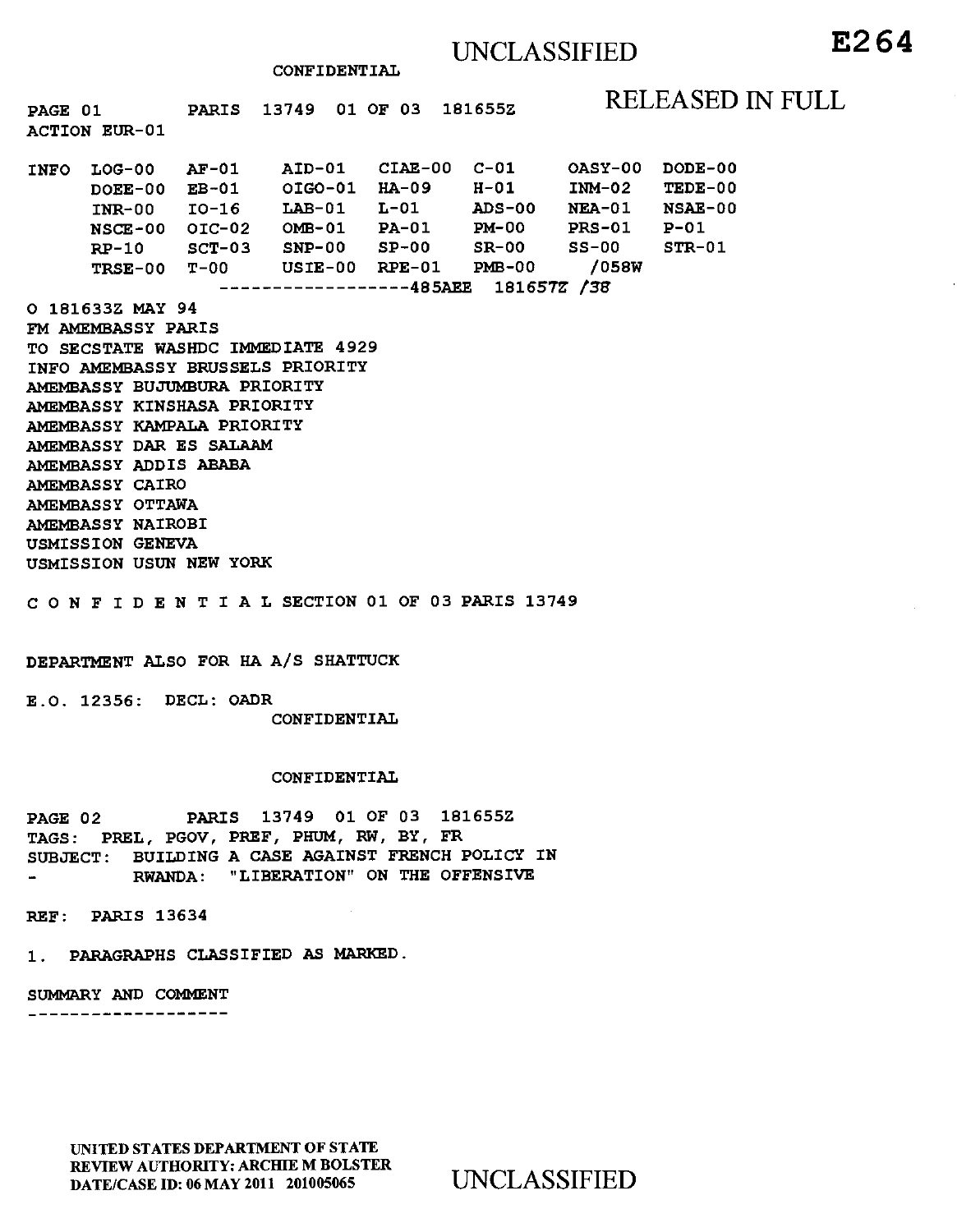**CONFIDENTIAL** 

PAGE 01 PARIS 13749 01 OF 03 181655Z RELEASED IN FULL

| <b>INFO</b> | $LOG-00$  | $AF-01$  | AID-01    | $CIAE-00$ | $C-01$   | <b>OASY-00</b> | DODE-00  |
|-------------|-----------|----------|-----------|-----------|----------|----------------|----------|
|             | $DOEE-00$ | $EB-01$  | OIGO-01   | $HA-09$   | H-01     | $IMM-02$       | TEDE-00  |
|             | $INR-00$  | $IO-16$  | $L$ AB-01 | $L-01$    | $ADS-00$ | <b>NEA-01</b>  | NSAE-00  |
|             | NSCE-00   | $OIC-02$ | $OMB-01$  | $PA-01$   | $PM-00$  | $PRS-01$       | $P-01$   |
|             | $RP-10$   | $SCT-03$ | $SNP-00$  | $SP-00$   | $SR-00$  | $SS-00$        | $STR-01$ |
|             | TRSE-00   | $T-00$   | $USTE-00$ | $RPE-01$  | $PMB-00$ | /058W          |          |
| 181657Z /38 |           |          |           |           |          |                |          |

**O 181633Z MAY 94** 

**ACTION EUR-01** 

**FM AMEMBASSY PARIS TO SECSTATE WASHDC IMMEDIATE 4929 INFO AMEMBASSY BRUSSELS PRIORITY AMEMBASSY BUJUMBURA PRIORITY AMEMBASSY KINSHASA PRIORITY AMEMBASSY KAMPALA PRIORITY AMEMBASSY DAR ES SALAAM AMEMBASSY ADDIS ABABA AMEMBASSY CAIRO AMEMBASSY OTTAWA AMEMBASSY NAIROBI USMISSION GENEVA USMISSION USUN NEW YORK** 

**CONFIDENTIALSECTION 01 OF 03 PARIS 13749** 

### **DEPARTMENT ALSO FOR HA A/S SHATTUCK**

**E.O. 12356: DECL: OADR CONFIDENTIAL** 

#### **CONFIDENTIAL**

**PAGE 02 PARIS 13749 01 OF 03 181655Z TAGS: PREL, PGOV, PREF, PHUM, RW, BY, FR SUBJECT: BUILDING A CASE AGAINST FRENCH POLICY IN RWANDA: "LIBERATION" ON THE OFFENSIVE** 

**REF: PARIS 13634** 

**1. PARAGRAPHS CLASSIFIED** AS **MARKED.** 

**SUMMARY AND COMMENT** 

\_\_\_\_\_\_\_\_\_\_\_\_\_\_\_\_\_\_\_

UNITED STATES DEPARTMENT OF STATE REVIEW AUTHORITY: ARCHIE M BOLSTER DATE/CASE ID: 06 MAY 2011 201005065 UNCLASSIFIED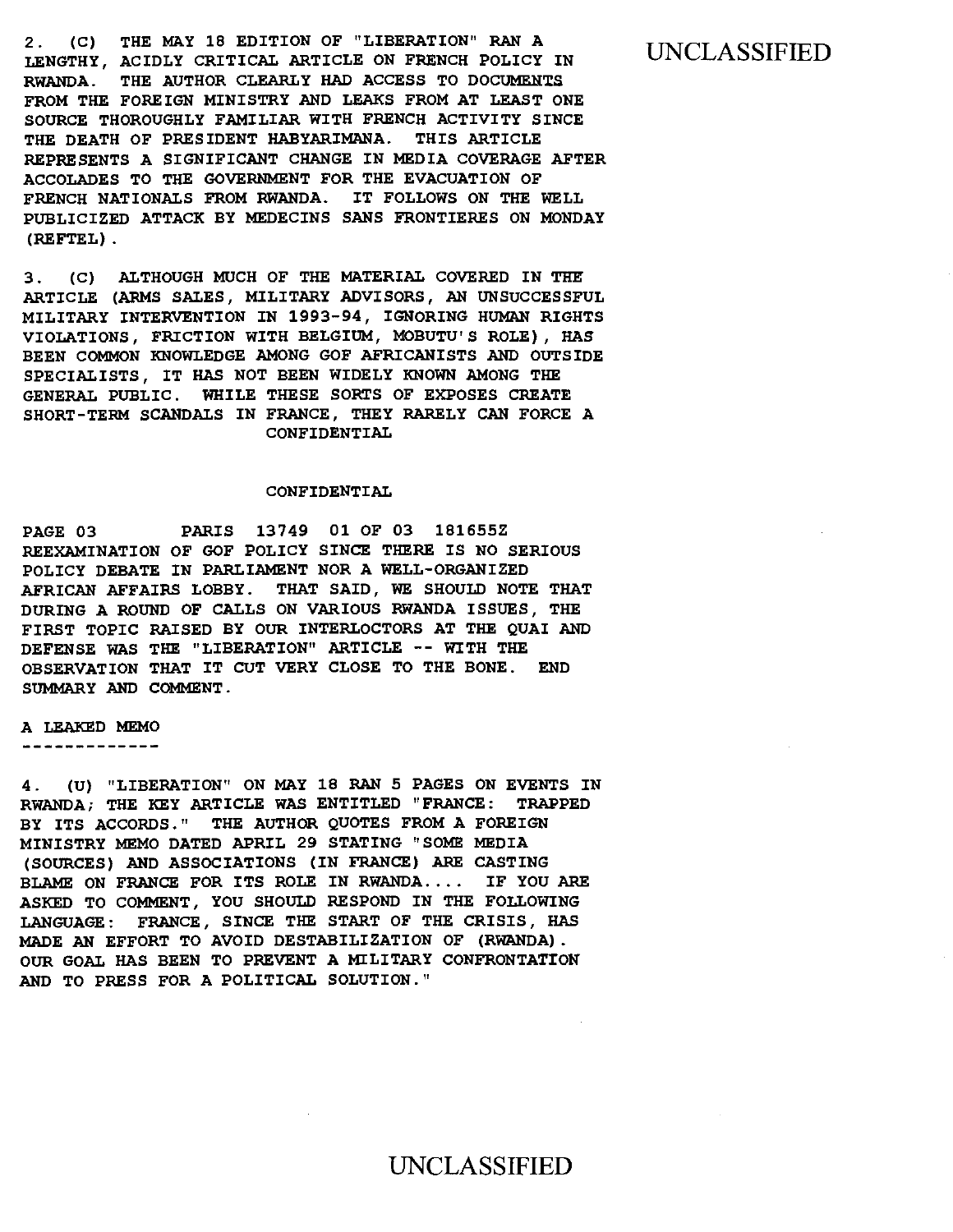2. (C) THE MAY 18 EDITION OF "LIBERATION" RAN A LENGTHY, ACIDLY CRITICAL ARTICLE ON FRENCH POLICY IN RWANDA. THE AUTHOR CLEARLY HAD ACCESS TO DOCUMENTS FROM THE FOREIGN MINISTRY AND LEAKS FROM AT LEAST ONE SOURCE THOROUGHLY FAMILIAR WITH FRENCH ACTIVITY SINCE THE DEATH OF PRESIDENT HARYARIMANA. THIS ARTICLE REPRESENTS A SIGNIFICANT CHANGE IN MEDIA COVERAGE AFTER ACCOLADES TO THE GOVERNMENT FOR THE EVACUATION OF FRENCH NATIONALS FROM RWANDA. IT FOLLOWS ON THE WELL PUBLICIZED ATTACK BY MEDECINS SANS FRONTIERES ON MONDAY (REFTEL).

3. (C) ALTHOUGH MUCH OF THE MATERIAL COVERED IN THE ARTICLE (ARMS SALES, MILITARY ADVISORS, AN UNSUCCESSFUL MILITARY INTERVENTION IN 1993-94, IGNORING HUMAN RIGHTS VIOLATIONS, FRICTION WITH BELGIUM, MOBUTU'S ROLE), HAS BEEN COMMON KNOWLEDGE AMONG GOF AFRICANISTS AND OUTSIDE SPECIALISTS, IT HAS NOT BEEN WIDELY KNOWN AMONG THE GENERAL PUBLIC. WHILE THESE SORTS OF EXPOSES CREATE SHORT-TERM SCANDALS IN FRANCE, THEY RARELY CAN FORCE A CONFIDENTIAL

#### CONFIDENTIAL

PAGE 03 PARIS 13749 01 OF 03 181655Z REEXAMINATION OF GOF POLICY SINCE THERE IS NO SERIOUS POLICY DEBATE IN PARLIAMENT NOR A WELL-ORGANIZED AFRICAN AFFAIRS LOBBY. THAT SAID, WE SHOULD NOTE THAT DURING A ROUND OF CALLS ON VARIOUS RWANDA ISSUES, THE FIRST TOPIC RAISED BY OUR INTERLOCTORS AT THE QUAI AND DEFENSE WAS THE "LIBERATION" ARTICLE -- WITH THE OBSERVATION THAT IT CUT VERY CLOSE TO THE BONE. END SUMMARY AND COMMENT.

#### A LEAKED MEMO

-------------

4. (U) "LIBERATION" ON MAY 18 RAN 5 PAGES ON EVENTS IN RWANDA; THE KEY ARTICLE WAS ENTITLED "FRANCE: TRAPPED BY ITS ACCORDS." THE AUTHOR QUOTES FROM A FOREIGN MINISTRY MEMO DATED APRIL 29 STATING "SOME MEDIA (SOURCES) AND ASSOCIATIONS (IN FRANCE) ARE CASTING BLAME ON FRANCE FOR ITS ROLE IN RWANDA.... IF YOU ARE ASKED TO COMMENT, YOU SHOULD RESPOND IN THE FOLLOWING LANGUAGE: FRANCE, SINCE THE START OF THE CRISIS, HAS MADE AN EFFORT TO AVOID DESTABILIZATION OF (RWANDA). OUR GOAL HAS BEEN TO PREVENT A MILITARY CONFRONTATION AND TO PRESS FOR A POLITICAL SOLUTION."

### UNCLASSIFIED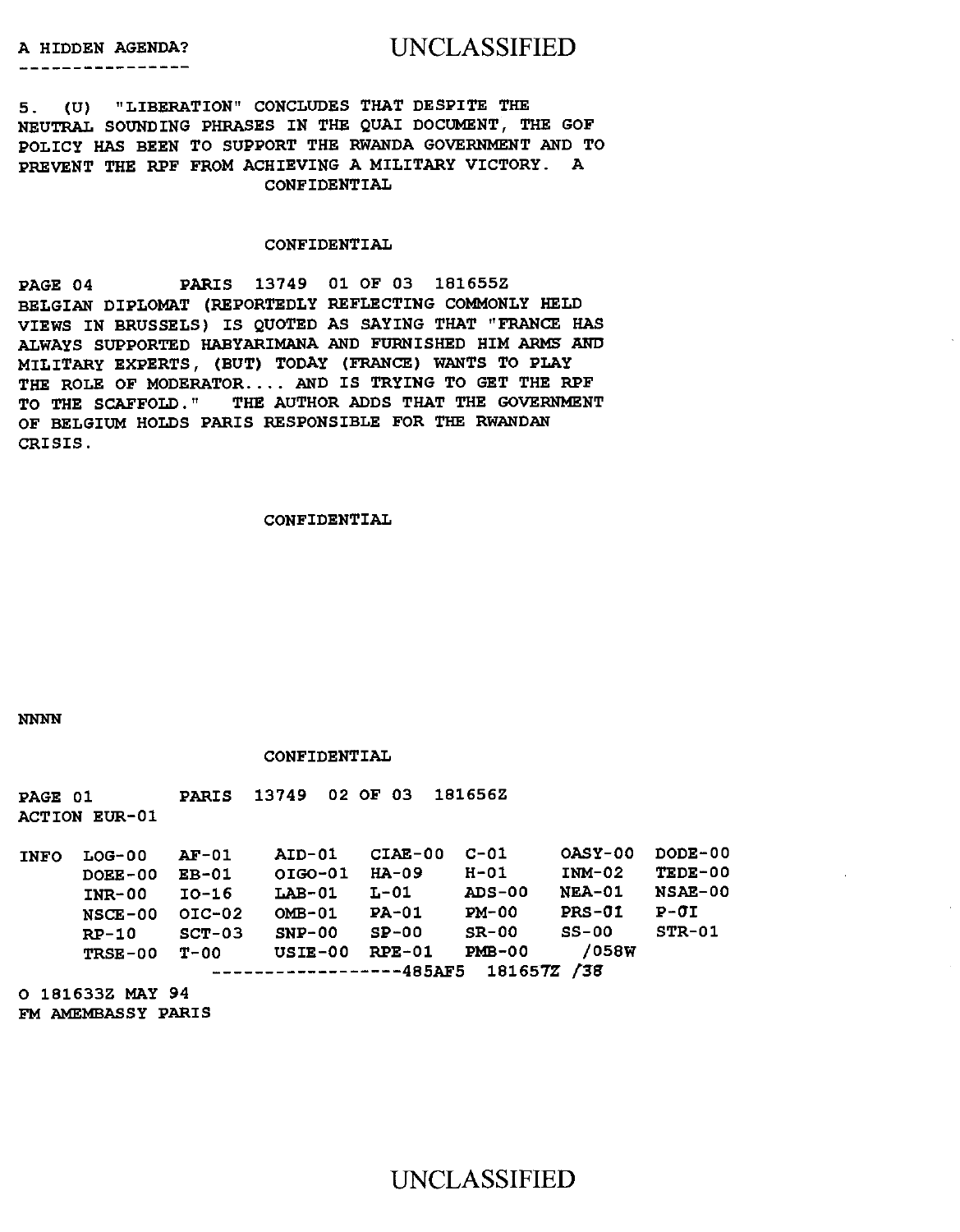# A HIDDEN AGENDA? UNCLASSIFIED

5. (U) "LIBERATION" CONCLUDES THAT DESPITE THE NEUTRAL SOUNDING PHRASES IN THE QUAI DOCUMENT, THE GOF POLICY **HAS** BEEN TO SUPPORT THE RWANDA GOVERNMENT AND TO PREVENT THE RPF FROM ACHIEVING A MILITARY VICTORY. A CONFIDENTIAL

#### CONFIDENTIAL

PAGE 04 PARIS 13749 01 OF 03 181655Z BELGIAN DIPLOMAT (REPORTEDLY REFLECTING COMMONLY HELD VIEWS IN BRUSSELS) IS QUOTED AS SAYING THAT "FRANCE HAS ALWAYS SUPPORTED HABYARIMANA AND FURNISHED HIM ARMS AND MILITARY EXPERTS, (BUT) TODAY (FRANCE) WANTS TO PLAY THE ROLE OF MODERATOR.... AND IS TRYING TO GET THE RPF TO THE SCAFFOLD." THE AUTHOR ADDS THAT THE GOVERNMENT OF BELGIUM HOLDS PARIS RESPONSIBLE FOR THE RWANDAN CRISIS.

#### CONFIDENTIAL

NNNN

#### CONFIDENTIAL

PAGE 01 PARIS 13749 02 OF 03 181656Z ACTION EUR-01

INFO LOG-00 AF-01 AID-01 CIAE-00 C-01 OASY-00 DODE-00 DOEE-00 EB-01 OIG0-01 HA-09 H-01 INM-02 TEDE-00 INR-00 10-16 LAB-01 L-01 ADS-00 NEA-01 NSAE-00 NSCE-00 OIC-02 OMB-01 PA-01 PM-00 PRS-01 P-0I RP-10 SCT-03 SNP-00 SP-00 SR-00 SS-00 STR-01 TRSE-00 T-00 USIE-00 RPE-01 PMB-00 /058W -----------------485AF5 181657Z /38

O 181633Z MAY 94 FM AMEMBASSY PARIS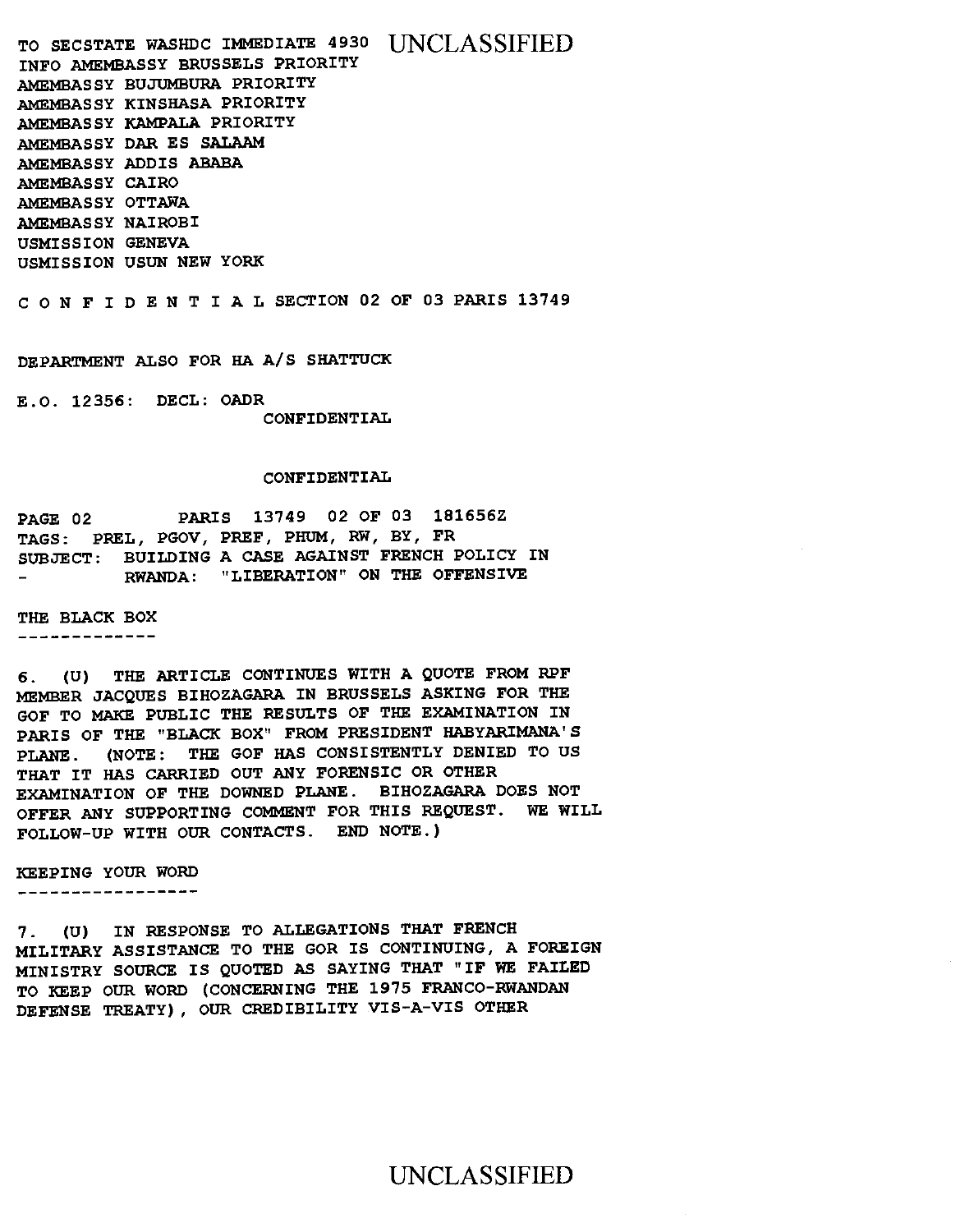TO SECSTATE WASHDC IMMEDIATE 4930 [INCLASSIFIED] INFO AMEMBASSY BRUSSELS PRIORITY AMEMBASSY BUJUMBURA PRIORITY AMEMBASSY KINSHASA PRIORITY AMEMBASSY KAMPALA PRIORITY AMEMBASSY DAR ES SALAAM AMEMBASSY ADDIS ABABA AMEMBASSY CAIRO AMEMBASSY OTTAWA AMEMBASSY NAIROBI USMISSION GENEVA USMISSION USUN NEW YORK

CONFIDENTIALSECTION 02 OF 03 PARIS 13749

DEPARTMENT ALSO FOR HA A/S SHATTUCK

E.O. 12356: DECL: OADR CONFIDENTIAL

#### CONFIDENTIAL

PAGE 02 PARIS 13749 02 OF 03 181656Z TAGS: PREL, PGOV, PREF, PHUM, RW, BY, FR SUBJECT: BUILDING A CASE AGAINST FRENCH POLICY IN RWANDA: "LIBERATION" ON THE OFFENSIVE

THE BLACK BOX

-------------

6. (U) THE ARTICLE CONTINUES WITH A QUOTE FROM RPF MEMBER JACQUES BIHOZAGARA IN BRUSSELS ASKING FOR THE GOF TO MAKE PUBLIC THE RESULTS OF THE EXAMINATION IN PARIS OF THE "BLACK BOX" FROM PRESIDENT HABYARIMANA'S PLANE. (NOTE: THE GOF HAS CONSISTENTLY DENIED TO US THAT IT HAS CARRIED OUT ANY FORENSIC OR OTHER EXAMINATION OF THE DOWNED PLANE. BIHOZAGARA DOES NOT OFFER ANY SUPPORTING COMMENT FOR THIS REQUEST. WE WILL FOLLOW-UP WITH OUR CONTACTS. END NOTE.)

KEEPING YOUR WORD

------------------

7. (U) IN RESPONSE TO ALLEGATIONS THAT FRENCH MILITARY ASSISTANCE TO THE GOR IS CONTINUING, A FOREIGN MINISTRY SOURCE IS QUOTED AS SAYING THAT "IF WE FAILED TO KEEP OUR WORD (CONCERNING THE 1975 FRANCO-RWANDAN DEFENSE TREATY), OUR CREDIBILITY VIS-A-VIS OTHER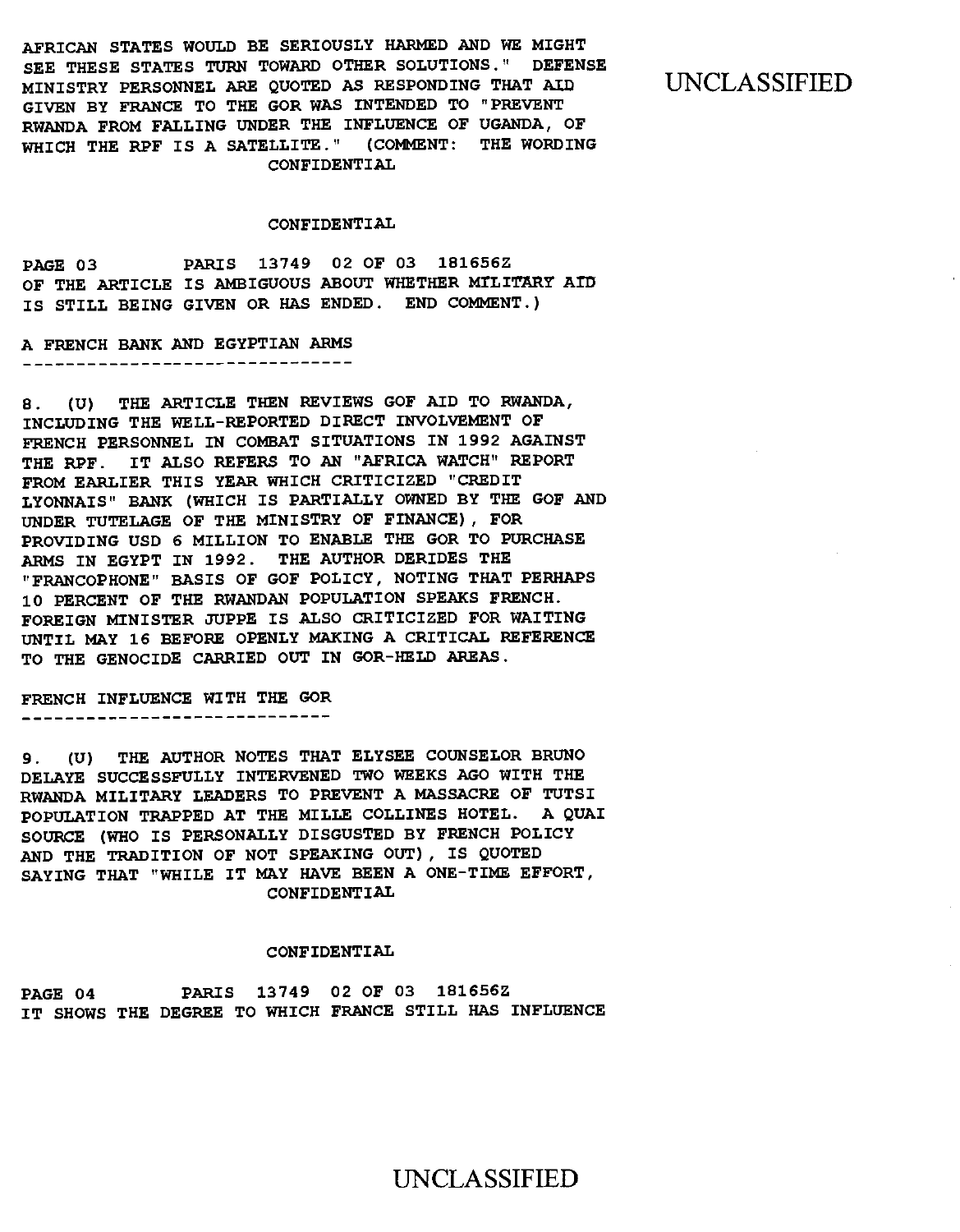AFRICAN STATES WOULD BE SERIOUSLY HARMED AND WE MIGHT SEE THESE STATES TURN TOWARD OTHER SOLUTIONS." DEFENSE MINISTRY PERSONNEL ARE QUOTED AS RESPONDING THAT AID GIVEN BY FRANCE TO THE GOR WAS INTENDED TO "PREVENT RWANDA FROM FALLING UNDER THE INFLUENCE OF UGANDA, OF WHICH THE RPF IS A SATELLITE." (COMMENT: THE WORDING CONFIDENTIAL

UNCLASSIFIED

#### CONFIDENTIAL

PAGE 03 PARIS 13749 02 OF 03 181656Z OF THE ARTICLE IS AMBIGUOUS ABOUT WHETHER MILITARY AID IS STILL BEING GIVEN OR HAS ENDED. END COMMENT.)

A FRENCH BANK AND EGYPTIAN ARMS \_\_\_\_\_\_\_\_\_\_\_\_\_\_\_\_\_\_\_\_\_\_\_\_\_\_\_\_\_\_\_\_\_

8. (U) THE ARTICLE THEN REVIEWS GOF AID TO RWANDA, INCLUDING THE WELL-REPORTED DIRECT INVOLVEMENT OF FRENCH PERSONNEL IN COMBAT SITUATIONS IN 1992 AGAINST THE RPF. IT ALSO REFERS TO AN "AFRICA WATCH" REPORT FROM EARLIER THIS YEAR WHICH CRITICIZED "CREDIT LYONNAIS" BANK (WHICH IS PARTIALLY OWNED BY THE GOF AND UNDER TUTELAGE OF THE MINISTRY OF FINANCE), FOR PROVIDING USD 6 MILLION TO ENABLE THE GOR TO PURCHASE ARMS IN EGYPT IN 1992. THE AUTHOR DERIDES THE "FRANCOPHONE" BASIS OF GOF POLICY, NOTING THAT PERHAPS 10 PERCENT OF THE RWANDAN POPULATION SPEAKS FRENCH. FOREIGN MINISTER JUPPE IS ALSO CRITICIZED FOR WAITING UNTIL MAY 16 BEFORE OPENLY MAKING A CRITICAL REFERENCE TO THE GENOCIDE CARRIED OUT IN GOR-HELD AREAS.

FRENCH INFLUENCE WITH THE GOR

9. (U) THE AUTHOR NOTES THAT ELYSEE COUNSELOR BRUNO DELAYE SUCCESSFULLY INTERVENED TWO WEEKS AGO WITH THE RWANDA MILITARY LEADERS TO PREVENT A MASSACRE OF TUTSI POPULATION TRAPPED AT THE MILLE COLLINES HOTEL. A QUAI SOURCE (WHO IS PERSONALLY DISGUSTED BY FRENCH POLICY AND THE TRADITION OF NOT SPEAKING OUT), IS QUOTED SAYING THAT "WHILE IT MAY HAVE BEEN A ONE-TIME EFFORT, CONFIDENTIAL

#### CONFIDENTIAL

PAGE 04 PARIS 13749 02 OF 03 181656Z IT SHOWS THE DEGREE TO WHICH FRANCE STILL HAS INFLUENCE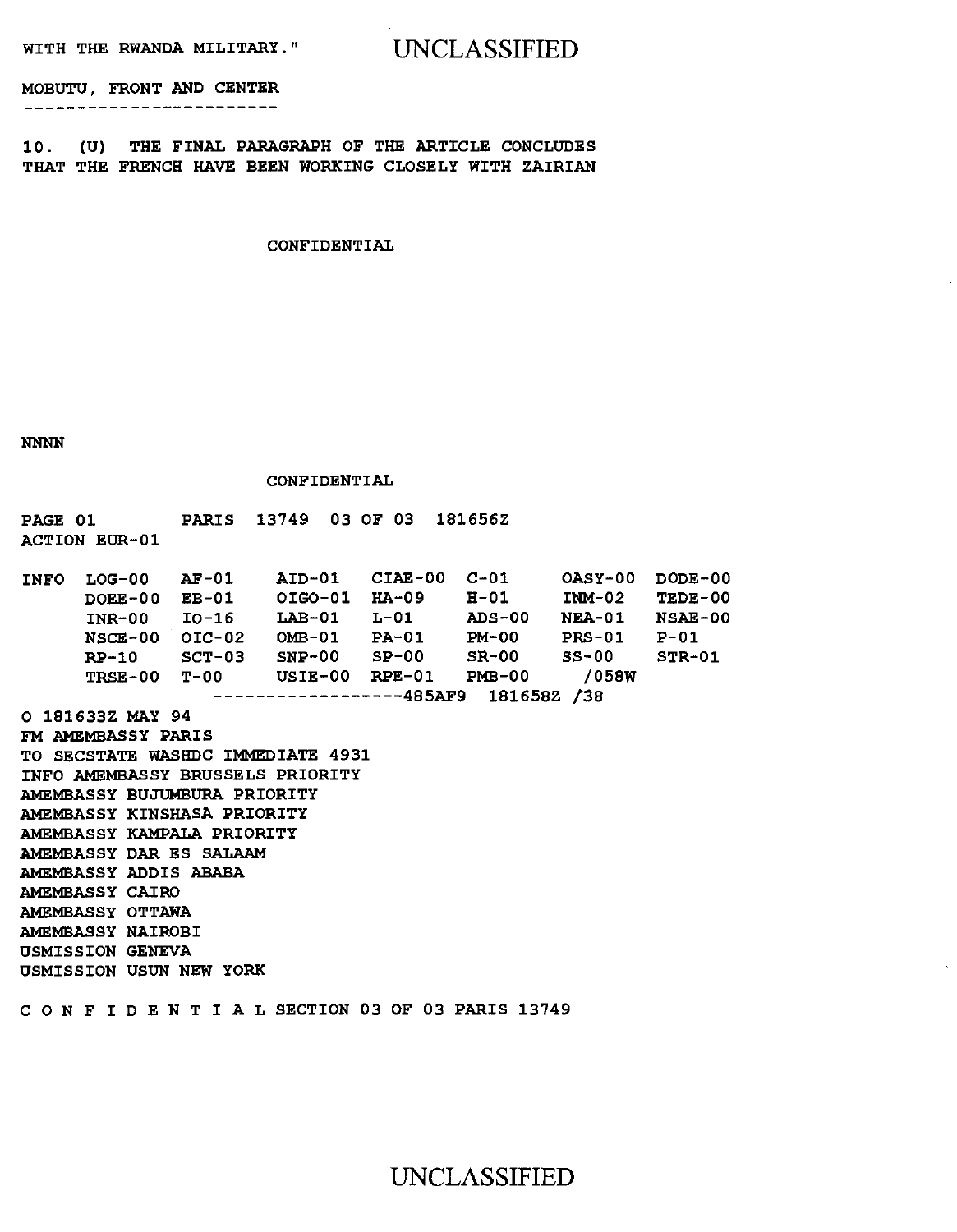**WITH THE RWANDA MILITARY."** UNCLASSIFIED

**MOBUTU, FRONT AND CENTER** 

\_\_\_\_\_\_\_\_\_\_\_\_\_\_\_\_\_\_\_\_\_\_\_\_\_\_\_

**10. (U) THE FINAL PARAGRAPH OF THE ARTICLE CONCLUDES THAT THE FRENCH HAVE BEEN WORKING CLOSELY WITH ZAIRIAN** 

**CONFIDENTIAL** 

**NNNN** 

**CONFIDENTIAL** 

**PAGE 01 PARIS 13749 03 OF 03 181656Z ACTION EUR-01** 

**AID-01 CIAE-00 C-01 OASY-00 DODE-00 OIG0-01 HA-09 H-01 INM-02 TEDE-00 LAB-01 L-01 ADS-00 NEA-01 NSAE-00 OMB-01 PA-01 PM-00 PRS-01 P-01 SNP-00 SP-00 SR-00 SS-00 STR-01 USIE-00 RPE-01 PMB-00 /058W TRSE-00 T-00 485AF9** 181658Z 138 **INFO LOG-00 AF-01 DOEE-00 EB-01 INR-00 10-16 NSCE-00 01C-02 RP-10 SCT-03** 

**O 181633Z MAY 94**  FM **AMEMBASSY PARIS TO SECSTATE WASHDC IMMEDIATE 4931 INFO AMEMBASSY BRUSSELS PRIORITY AMEMBASSY BUJUMBURA PRIORITY AMEMBASSY KINSHASA PRIORITY AMEMBASSY KAMPALA PRIORITY AMEMBASSY DAR ES SALAAM AMEMBASSY ADDIS ABABA** 

**AMEMBASSY CAIRO AMEMBASSY OTTAWA AMEMBASSY NAIROBI USMISSION GENEVA USMISSION USUN NEW YORK** 

**CONFIDENTIALSECTION 03 OF 03 PARIS 13749**